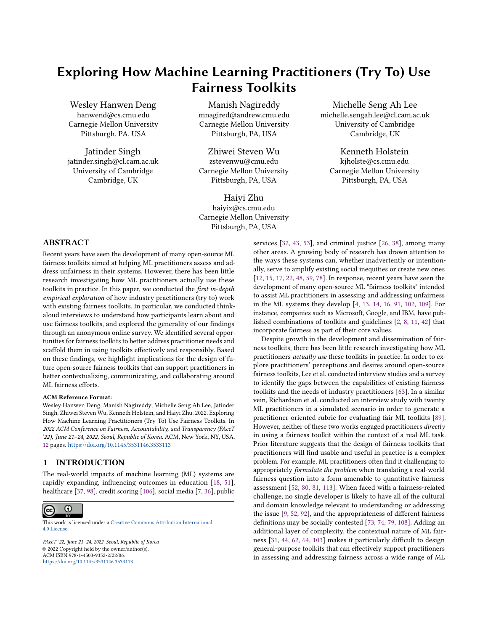# Exploring How Machine Learning Practitioners (Try To) Use Fairness Toolkits

Wesley Hanwen Deng hanwend@cs.cmu.edu Carnegie Mellon University Pittsburgh, PA, USA

Jatinder Singh jatinder.singh@cl.cam.ac.uk University of Cambridge Cambridge, UK

Manish Nagireddy mnagired@andrew.cmu.edu Carnegie Mellon University Pittsburgh, PA, USA

Zhiwei Steven Wu zstevenwu@cmu.edu Carnegie Mellon University Pittsburgh, PA, USA

Haiyi Zhu haiyiz@cs.cmu.edu Carnegie Mellon University Pittsburgh, PA, USA

Michelle Seng Ah Lee michelle.sengah.lee@cl.cam.ac.uk University of Cambridge Cambridge, UK

Kenneth Holstein kjholste@cs.cmu.edu Carnegie Mellon University Pittsburgh, PA, USA

## ABSTRACT

Recent years have seen the development of many open-source ML fairness toolkits aimed at helping ML practitioners assess and address unfairness in their systems. However, there has been little research investigating how ML practitioners actually use these toolkits in practice. In this paper, we conducted the first in-depth empirical exploration of how industry practitioners (try to) work with existing fairness toolkits. In particular, we conducted thinkaloud interviews to understand how participants learn about and use fairness toolkits, and explored the generality of our findings through an anonymous online survey. We identified several opportunities for fairness toolkits to better address practitioner needs and scaffold them in using toolkits effectively and responsibly. Based on these findings, we highlight implications for the design of future open-source fairness toolkits that can support practitioners in better contextualizing, communicating, and collaborating around ML fairness efforts.

#### ACM Reference Format:

Wesley Hanwen Deng, Manish Nagireddy, Michelle Seng Ah Lee, Jatinder Singh, Zhiwei Steven Wu, Kenneth Holstein, and Haiyi Zhu. 2022. Exploring How Machine Learning Practitioners (Try To) Use Fairness Toolkits. In 2022 ACM Conference on Fairness, Accountability, and Transparency (FAccT '22), June 21–24, 2022, Seoul, Republic of Korea. ACM, New York, NY, USA, [12](#page-11-0) pages. <https://doi.org/10.1145/3531146.3533113>

#### 1 INTRODUCTION

The real-world impacts of machine learning (ML) systems are rapidly expanding, influencing outcomes in education [\[18,](#page-9-0) [51\]](#page-10-0), healthcare [\[37,](#page-9-1) [98\]](#page-11-1), credit scoring [\[106\]](#page-11-2), social media [\[7,](#page-9-2) [36\]](#page-9-3), public

#### $\odot$  $(cc)$

This work is licensed under a [Creative Commons Attribution International](https://creativecommons.org/licenses/by/4.0/) [4.0 License.](https://creativecommons.org/licenses/by/4.0/)

FAccT '22, June 21–24, 2022, Seoul, Republic of Korea © 2022 Copyright held by the owner/author(s). ACM ISBN 978-1-4503-9352-2/22/06. <https://doi.org/10.1145/3531146.3533113>

services [\[32,](#page-9-4) [43,](#page-9-5) [53\]](#page-10-1), and criminal justice [\[26,](#page-9-6) [38\]](#page-9-7), among many other areas. A growing body of research has drawn attention to the ways these systems can, whether inadvertently or intentionally, serve to amplify existing social inequities or create new ones [\[12,](#page-9-8) [15,](#page-9-9) [17,](#page-9-10) [22,](#page-9-11) [48,](#page-10-2) [59,](#page-10-3) [78\]](#page-10-4). In response, recent years have seen the development of many open-source ML "fairness toolkits" intended to assist ML practitioners in assessing and addressing unfairness in the ML systems they develop [\[4,](#page-9-12) [13,](#page-9-13) [14,](#page-9-14) [16,](#page-9-15) [91,](#page-10-5) [102,](#page-11-3) [109\]](#page-11-4). For instance, companies such as Microsoft, Google, and IBM, have published combinations of toolkits and guidelines [\[2,](#page-9-16) [8,](#page-9-17) [11,](#page-9-18) [42\]](#page-9-19) that incorporate fairness as part of their core values.

Despite growth in the development and dissemination of fairness toolkits, there has been little research investigating how ML practitioners actually use these toolkits in practice. In order to explore practitioners' perceptions and desires around open-source fairness toolkits, Lee et al. conducted interview studies and a survey to identify the gaps between the capabilities of existing fairness toolkits and the needs of industry practitioners [\[63\]](#page-10-6). In a similar vein, Richardson et al. conducted an interview study with twenty ML practitioners in a simulated scenario in order to generate a practitioner-oriented rubric for evaluating fair ML toolkits [\[89\]](#page-10-7). However, neither of these two works engaged practitioners directly in using a fairness toolkit within the context of a real ML task. Prior literature suggests that the design of fairness toolkits that practitioners will find usable and useful in practice is a complex problem. For example, ML practitioners often find it challenging to appropriately formulate the problem when translating a real-world fairness question into a form amenable to quantitative fairness assessment [\[52,](#page-10-8) [80,](#page-10-9) [81,](#page-10-10) [113\]](#page-11-5). When faced with a fairness-related challenge, no single developer is likely to have all of the cultural and domain knowledge relevant to understanding or addressing the issue [\[9,](#page-9-20) [52,](#page-10-8) [92\]](#page-11-6), and the appropriateness of different fairness definitions may be socially contested [\[73,](#page-10-11) [74,](#page-10-12) [79,](#page-10-13) [108\]](#page-11-7). Adding an additional layer of complexity, the contextual nature of ML fairness [\[31,](#page-9-21) [44,](#page-9-22) [62,](#page-10-14) [64,](#page-10-15) [103\]](#page-11-8) makes it particularly difficult to design general-purpose toolkits that can effectively support practitioners in assessing and addressing fairness across a wide range of ML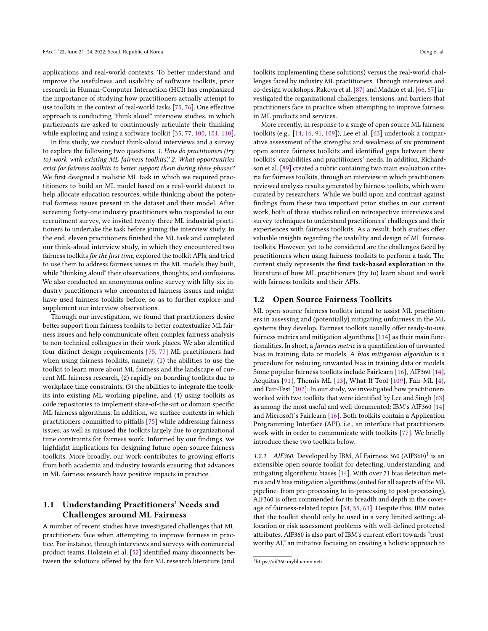applications and real-world contexts. To better understand and improve the usefulness and usability of software toolkits, prior research in Human-Computer Interaction (HCI) has emphasized the importance of studying how practitioners actually attempt to use toolkits in the context of real-world tasks [\[75,](#page-10-16) [76\]](#page-10-17). One effective approach is conducting "think aloud" interview studies, in which participants are asked to continuously articulate their thinking while exploring and using a software toolkit [\[35,](#page-9-23) [77,](#page-10-18) [100,](#page-11-9) [101,](#page-11-10) [110\]](#page-11-11).

In this study, we conduct think-aloud interviews and a survey to explore the following two questions: 1. How do practitioners (try to) work with existing ML fairness toolkits? 2. What opportunities exist for fairness toolkits to better support them during these phases? We first designed a realistic ML task in which we required practitioners to build an ML model based on a real-world dataset to help allocate education resources, while thinking about the potential fairness issues present in the dataset and their model. After screening forty-one industry practitioners who responded to our recruitment survey, we invited twenty-three ML industrial practitioners to undertake the task before joining the interview study. In the end, eleven practitioners finished the ML task and completed our think-aloud interview study, in which they encountered two fairness toolkits for the first time, explored the toolkit APIs, and tried to use them to address fairness issues in the ML models they built, while "thinking aloud" their observations, thoughts, and confusions. We also conducted an anonymous online survey with fifty-six industry practitioners who encountered fairness issues and might have used fairness toolkits before, so as to further explore and supplement our interview observations.

Through our investigation, we found that practitioners desire better support from fairness toolkits to better contextualize ML fairness issues and help communicate often complex fairness analysis to non-technical colleagues in their work places. We also identified four distinct design requirements [\[75,](#page-10-16) [77\]](#page-10-18) ML practitioners had when using fairness toolkits, namely, (1) the abilities to use the toolkit to learn more about ML fairness and the landscape of current ML fairness research, (2) rapidly on-boarding toolkits due to workplace time constraints, (3) the abilities to integrate the toolkits into existing ML working pipeline, and (4) using toolkits as code repositories to implement state-of-the-art or domain specific ML fairness algorithms. In addition, we surface contexts in which practitioners committed to pitfalls [\[75\]](#page-10-16) while addressing fairness issues, as well as misused the toolkits largely due to organizational time constraints for fairness work. Informed by our findings, we highlight implications for designing future open-source fairness toolkits. More broadly, our work contributes to growing efforts from both academia and industry towards ensuring that advances in ML fairness research have positive impacts in practice.

## 1.1 Understanding Practitioners' Needs and Challenges around ML Fairness

A number of recent studies have investigated challenges that ML practitioners face when attempting to improve fairness in practice. For instance, through interviews and surveys with commercial product teams, Holstein et al. [\[52\]](#page-10-8) identified many disconnects between the solutions offered by the fair ML research literature (and

toolkits implementing these solutions) versus the real-world challenges faced by industry ML practitioners. Through interviews and co-design workshops, Rakova et al. [\[87\]](#page-10-19) and Madaio et al. [\[66,](#page-10-20) [67\]](#page-10-21) investigated the organizational challenges, tensions, and barriers that practitioners face in practice when attempting to improve fairness in ML products and services.

More recently, in response to a surge of open source ML fairness toolkits (e.g., [\[14,](#page-9-14) [16,](#page-9-15) [91,](#page-10-5) [109\]](#page-11-4)), Lee et al. [\[63\]](#page-10-6) undertook a comparative assessment of the strengths and weakness of six prominent open source fairness toolkits and identified gaps between these toolkits' capabilities and practitioners' needs. In addition, Richardson et al. [\[89\]](#page-10-7) created a rubric containing two main evaluation criteria for fairness toolkits, through an interview in which practitioners reviewed analysis results generated by fairness toolkits, which were curated by researchers. While we build upon and contrast against findings from these two important prior studies in our current work, both of these studies relied on retrospective interviews and survey techniques to understand practitioners' challenges and their experiences with fairness toolkits. As a result, both studies offer valuable insights regarding the usability and design of ML fairness toolkits. However, yet to be considered are the challenges faced by practitioners when using fairness toolkits to perform a task. The current study represents the first task-based exploration in the literature of how ML practitioners (try to) learn about and work with fairness toolkits and their APIs.

### 1.2 Open Source Fairness Toolkits

ML open-source fairness toolkits intend to assist ML practitioners in assessing and (potentially) mitigating unfairness in the ML systems they develop. Fairness toolkits usually offer ready-to-use fairness metrics and mitigation algorithms [\[114\]](#page-11-12) as their main functionalities. In short, a fairness metric is a quantification of unwanted bias in training data or models. A bias mitigation algorithm is a procedure for reducing unwanted bias in training data or models. Some popular fairness toolkits include Fairlearn [\[16\]](#page-9-15), AIF360 [\[14\]](#page-9-14), Aequitas [\[91\]](#page-10-5), Themis-ML [\[13\]](#page-9-13), What-If Tool [\[109\]](#page-11-4), Fair-ML [\[4\]](#page-9-12), and Fair-Test [\[102\]](#page-11-3). In our study, we investigated how practitioners worked with two toolkits that were identified by Lee and Singh [\[63\]](#page-10-6) as among the most useful and well-documented: IBM's AIF360 [\[14\]](#page-9-14) and Microsoft's Fairlearn [\[16\]](#page-9-15). Both toolkits contain a Application Programming Interface (API), i.e., an interface that practitioners work with in order to communicate with toolkits [\[77\]](#page-10-18). We briefly introduce these two toolkits below.

[1](#page-1-0).2.1 AIF360. Developed by IBM, AI Fairness 360  $(AIF360)^1$  is an extensible open source toolkit for detecting, understanding, and mitigating algorithmic biases [\[14\]](#page-9-14). With over 71 bias detection metrics and 9 bias mitigation algorithms (suited for all aspects of the ML pipeline- from pre-processing to in-processing to post-processing), AIF360 is often commended for its breadth and depth in the coverage of fairness-related topics [\[54,](#page-10-22) [55,](#page-10-23) [63\]](#page-10-6). Despite this, IBM notes that the toolkit should only be used in a very limited setting: allocation or risk assessment problems with well-defined protected attributes. AIF360 is also part of IBM's current effort towards "trustworthy AI," an initiative focusing on creating a holistic approach to

<span id="page-1-0"></span><sup>1</sup>https://aif360.mybluemix.net/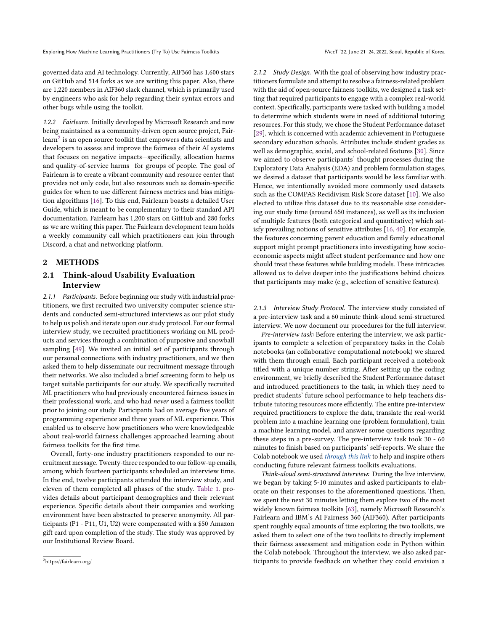governed data and AI technology. Currently, AIF360 has 1,600 stars on GitHub and 514 forks as we are writing this paper. Also, there are 1,220 members in AIF360 slack channel, which is primarily used by engineers who ask for help regarding their syntax errors and other bugs while using the toolkit.

1.2.2 Fairlearn. Initially developed by Microsoft Research and now being maintained as a community-driven open source project, Fairlearn $^2$  $^2$  is an open source toolkit that empowers data scientists and developers to assess and improve the fairness of their AI systems that focuses on negative impacts—specifically, allocation harms and quality-of-service harms—for groups of people. The goal of Fairlearn is to create a vibrant community and resource center that provides not only code, but also resources such as domain-specific guides for when to use different fairness metrics and bias mitigation algorithms [\[16\]](#page-9-15). To this end, Fairlearn boasts a detailed User Guide, which is meant to be complementary to their standard API documentation. Fairlearn has 1,200 stars on GitHub and 280 forks as we are writing this paper. The Fairlearn development team holds a weekly community call which practitioners can join through Discord, a chat and networking platform.

## 2 METHODS

# 2.1 Think-aloud Usability Evaluation Interview

2.1.1 Participants. Before beginning our study with industrial practitioners, we first recruited two university computer science students and conducted semi-structured interviews as our pilot study to help us polish and iterate upon our study protocol. For our formal interview study, we recruited practitioners working on ML products and services through a combination of purposive and snowball sampling [\[49\]](#page-10-24). We invited an initial set of participants through our personal connections with industry practitioners, and we then asked them to help disseminate our recruitment message through their networks. We also included a brief screening form to help us target suitable participants for our study. We specifically recruited ML practitioners who had previously encountered fairness issues in their professional work, and who had never used a fairness toolkit prior to joining our study. Participants had on average five years of programming experience and three years of ML experience. This enabled us to observe how practitioners who were knowledgeable about real-world fairness challenges approached learning about fairness toolkits for the first time.

Overall, forty-one industry practitioners responded to our recruitment message. Twenty-three responded to our follow-up emails, among which fourteen participants scheduled an interview time. In the end, twelve participants attended the interview study, and eleven of them completed all phases of the study. [Table 1.](#page-3-0) provides details about participant demographics and their relevant experience. Specific details about their companies and working environment have been abstracted to preserve anonymity. All participants (P1 - P11, U1, U2) were compensated with a \$50 Amazon gift card upon completion of the study. The study was approved by our Institutional Review Board.

2.1.2 Study Design. With the goal of observing how industry practitioners formulate and attempt to resolve a fairness-related problem with the aid of open-source fairness toolkits, we designed a task setting that required participants to engage with a complex real-world context. Specifically, participants were tasked with building a model to determine which students were in need of additional tutoring resources. For this study, we chose the Student Performance dataset [\[29\]](#page-9-24), which is concerned with academic achievement in Portuguese secondary education schools. Attributes include student grades as well as demographic, social, and school-related features [\[30\]](#page-9-25). Since we aimed to observe participants' thought processes during the Exploratory Data Analysis (EDA) and problem formulation stages, we desired a dataset that participants would be less familiar with. Hence, we intentionally avoided more commonly used datasets such as the COMPAS Recidivism Risk Score dataset [\[10\]](#page-9-26). We also elected to utilize this dataset due to its reasonable size considering our study time (around 650 instances), as well as its inclusion of multiple features (both categorical and quantitative) which satisfy prevailing notions of sensitive attributes [\[16,](#page-9-15) [40\]](#page-9-27). For example, the features concerning parent education and family educational support might prompt practitioners into investigating how socioeconomic aspects might affect student performance and how one should treat these features while building models. These intricacies allowed us to delve deeper into the justifications behind choices that participants may make (e.g., selection of sensitive features).

2.1.3 Interview Study Protocol. The interview study consisted of a pre-interview task and a 60 minute think-aloud semi-structured interview. We now document our procedures for the full interview.

Pre-interview task: Before entering the interview, we ask participants to complete a selection of preparatory tasks in the Colab notebooks (an collaborative computational notebook) we shared with them through email. Each participant received a notebook titled with a unique number string. After setting up the coding environment, we briefly described the Student Performance dataset and introduced practitioners to the task, in which they need to predict students' future school performance to help teachers distribute tutoring resources more efficiently. The entire pre-interview required practitioners to explore the data, translate the real-world problem into a machine learning one (problem formulation), train a machine learning model, and answer some questions regarding these steps in a pre-survey. The pre-interview task took 30 - 60 minutes to finish based on participants' self-reports. We share the Colab notebook we used [through this link](https://colab.research.google.com/drive/1zc4V-KmY_VcAY2K2iMcgslK6j3Ip5m9x?usp=sharing) to help and inspire others conducting future relevant fairness toolkits evaluations.

Think-aloud semi-structured interview: During the live interview, we began by taking 5-10 minutes and asked participants to elaborate on their responses to the aforementioned questions. Then, we spent the next 30 minutes letting them explore two of the most widely known fairness toolkits [\[63\]](#page-10-6), namely Microsoft Research's Fairlearn and IBM's AI Fairness 360 (AIF360). After participants spent roughly equal amounts of time exploring the two toolkits, we asked them to select one of the two toolkits to directly implement their fairness assessment and mitigation code in Python within the Colab notebook. Throughout the interview, we also asked participants to provide feedback on whether they could envision a

<span id="page-2-0"></span><sup>2</sup>https://fairlearn.org/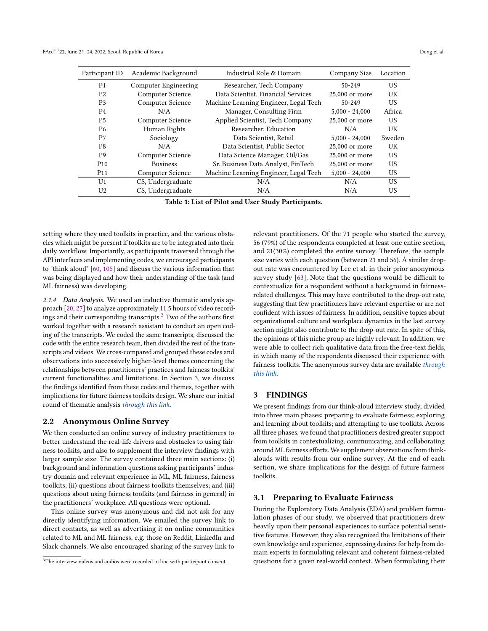<span id="page-3-0"></span>

| Industrial Role & Domain<br>Academic Background<br>Participant ID            | Company Size<br>Location   |
|------------------------------------------------------------------------------|----------------------------|
| P <sub>1</sub><br>Researcher, Tech Company<br><b>Computer Engineering</b>    | US<br>$50 - 249$           |
| Computer Science<br>Data Scientist, Financial Services<br>P <sub>2</sub>     | UK<br>25,000 or more       |
| Computer Science<br>Machine Learning Engineer, Legal Tech<br>P <sub>3</sub>  | US.<br>$50 - 249$          |
| Manager, Consulting Firm<br>P <sub>4</sub><br>N/A                            | Africa<br>$5,000 - 24,000$ |
| Applied Scientist, Tech Company<br><b>P5</b><br>Computer Science             | US<br>25,000 or more       |
| Researcher, Education<br>P <sub>6</sub><br>Human Rights                      | UK<br>N/A                  |
| P7<br>Sociology<br>Data Scientist, Retail                                    | Sweden<br>$5.000 - 24.000$ |
| P <sub>8</sub><br>Data Scientist, Public Sector<br>N/A                       | UK<br>25,000 or more       |
| P <sub>9</sub><br>Computer Science<br>Data Science Manager, Oil/Gas          | US<br>25,000 or more       |
| Sr. Business Data Analyst, FinTech<br>P <sub>10</sub><br><b>Business</b>     | US<br>25,000 or more       |
| Machine Learning Engineer, Legal Tech<br>Computer Science<br>P <sub>11</sub> | US<br>$5,000 - 24,000$     |
| CS, Undergraduate<br>U1<br>N/A                                               | US.<br>N/A                 |
| CS, Undergraduate<br>U2<br>N/A                                               | US<br>N/A                  |

Table 1: List of Pilot and User Study Participants.

setting where they used toolkits in practice, and the various obstacles which might be present if toolkits are to be integrated into their daily workflow. Importantly, as participants traversed through the API interfaces and implementing codes, we encouraged participants to "think aloud" [\[60,](#page-10-25) [105\]](#page-11-13) and discuss the various information that was being displayed and how their understanding of the task (and ML fairness) was developing.

2.1.4 Data Analysis. We used an inductive thematic analysis approach [\[20,](#page-9-28) [27\]](#page-9-29) to analyze approximately 11.5 hours of video recordings and their corresponding transcripts.[3](#page-3-1) Two of the authors first worked together with a research assistant to conduct an open coding of the transcripts. We coded the same transcripts, discussed the code with the entire research team, then divided the rest of the transcripts and videos. We cross-compared and grouped these codes and observations into successively higher-level themes concerning the relationships between practitioners' practices and fairness toolkits' current functionalities and limitations. In Section [3,](#page-3-2) we discuss the findings identified from these codes and themes, together with implications for future fairness toolkits design. We share our initial round of thematic analysis [through this link](https://docs.google.com/spreadsheets/d/1l2hvAVCRSBtpqLzs_05sWgf7CAUxKZ0CtCBSK6AMnvk/edit?usp=sharing).

#### 2.2 Anonymous Online Survey

We then conducted an online survey of industry practitioners to better understand the real-life drivers and obstacles to using fairness toolkits, and also to supplement the interview findings with larger sample size. The survey contained three main sections: (i) background and information questions asking participants' industry domain and relevant experience in ML, ML fairness, fairness toolkits; (ii) questions about fairness toolkits themselves; and (iii) questions about using fairness toolkits (and fairness in general) in the practitioners' workplace. All questions were optional.

This online survey was anonymous and did not ask for any directly identifying information. We emailed the survey link to direct contacts, as well as advertising it on online communities related to ML and ML fairness, e.g. those on Reddit, LinkedIn and Slack channels. We also encouraged sharing of the survey link to relevant practitioners. Of the 71 people who started the survey, 56 (79%) of the respondents completed at least one entire section, and 21(30%) completed the entire survey. Therefore, the sample size varies with each question (between 21 and 56). A similar dropout rate was encountered by Lee et al. in their prior anonymous survey study [\[63\]](#page-10-6). Note that the questions would be difficult to contextualize for a respondent without a background in fairnessrelated challenges. This may have contributed to the drop-out rate, suggesting that few practitioners have relevant expertise or are not confident with issues of fairness. In addition, sensitive topics about organizational culture and workplace dynamics in the last survey section might also contribute to the drop-out rate. In spite of this, the opinions of this niche group are highly relevant. In addition, we were able to collect rich qualitative data from the free-text fields, in which many of the respondents discussed their experience with fairness toolkits. The anonymous survey data are available [through](https://docs.google.com/spreadsheets/d/1xo75vv3AAu4ADKLs_fYJJ2l79QbkEPgh/edit?usp=sharing&ouid=117517882265320108005&rtpof=true&sd=true) [this link](https://docs.google.com/spreadsheets/d/1xo75vv3AAu4ADKLs_fYJJ2l79QbkEPgh/edit?usp=sharing&ouid=117517882265320108005&rtpof=true&sd=true).

# <span id="page-3-2"></span>3 FINDINGS

We present findings from our think-aloud interview study, divided into three main phases: preparing to evaluate fairness; exploring and learning about toolkits; and attempting to use toolkits. Across all three phases, we found that practitioners desired greater support from toolkits in contextualizing, communicating, and collaborating around ML fairness efforts. We supplement observations from thinkalouds with results from our online survey. At the end of each section, we share implications for the design of future fairness toolkits.

### 3.1 Preparing to Evaluate Fairness

During the Exploratory Data Analysis (EDA) and problem formulation phases of our study, we observed that practitioners drew heavily upon their personal experiences to surface potential sensitive features. However, they also recognized the limitations of their own knowledge and experience, expressing desires for help from domain experts in formulating relevant and coherent fairness-related questions for a given real-world context. When formulating their

<span id="page-3-1"></span><sup>&</sup>lt;sup>3</sup>The interview videos and audios were recorded in line with participant consent.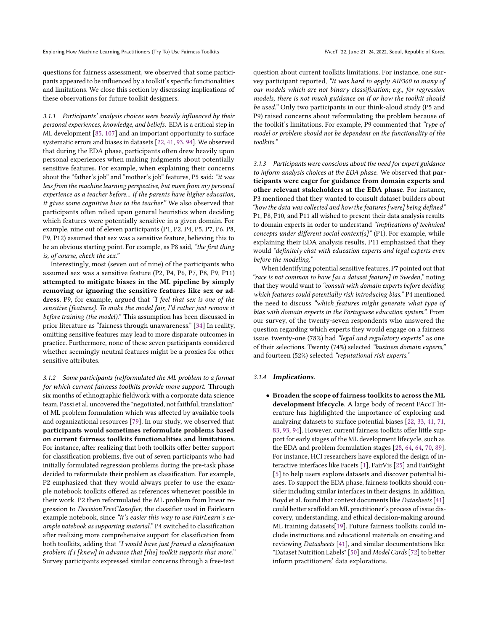Exploring How Machine Learning Practitioners (Try To) Use Fairness Toolkits FACCT 122, June 21-24, 2022, Seoul, Republic of Korea

questions for fairness assessment, we observed that some participants appeared to be influenced by a toolkit's specific functionalities and limitations. We close this section by discussing implications of these observations for future toolkit designers.

<span id="page-4-1"></span>3.1.1 Participants' analysis choices were heavily influenced by their personal experiences, knowledge, and beliefs. EDA is a critical step in ML development [\[85,](#page-10-26) [107\]](#page-11-14) and an important opportunity to surface systematic errors and biases in datasets [\[22,](#page-9-11) [41,](#page-9-30) [93,](#page-11-15) [94\]](#page-11-16). We observed that during the EDA phase, participants often drew heavily upon personal experiences when making judgments about potentially sensitive features. For example, when explaining their concerns about the "father's job" and "mother's job" features, P5 said: "it was less from the machine learning perspective, but more from my personal experience as a teacher before... if the parents have higher education, it gives some cognitive bias to the teacher." We also observed that participants often relied upon general heuristics when deciding which features were potentially sensitive in a given domain. For example, nine out of eleven participants (P1, P2, P4, P5, P7, P6, P8, P9, P12) assumed that sex was a sensitive feature, believing this to be an obvious starting point. For example, as P8 said, "the first thing is, of course, check the sex."

Interestingly, most (seven out of nine) of the participants who assumed sex was a sensitive feature (P2, P4, P6, P7, P8, P9, P11) attempted to mitigate biases in the ML pipeline by simply removing or ignoring the sensitive features like sex or address. P9, for example, argued that "I feel that sex is one of the sensitive [features]. To make the model fair, I'd rather just remove it before training (the model)." This assumption has been discussed in prior literature as "fairness through unawareness." [\[34\]](#page-9-31) In reality, omitting sensitive features may lead to more disparate outcomes in practice. Furthermore, none of these seven participants considered whether seemingly neutral features might be a proxies for other sensitive attributes.

3.1.2 Some participants (re)formulated the ML problem to a format for which current fairness toolkits provide more support. Through six months of ethnographic fieldwork with a corporate data science team, Passi et al. uncovered the "negotiated, not faithful, translation" of ML problem formulation which was affected by available tools and organizational resources [\[79\]](#page-10-13). In our study, we observed that participants would sometimes reformulate problems based on current fairness toolkits functionalities and limitations. For instance, after realizing that both toolkits offer better support for classification problems, five out of seven participants who had initially formulated regression problems during the pre-task phase decided to reformulate their problem as classification. For example, P2 emphasized that they would always prefer to use the example notebook toolkits offered as references whenever possible in their work. P2 then reformulated the ML problem from linear regression to DecisionTreeClassifier, the classifier used in Fairlearn example notebook, since "it's easier this way to use FairLearn's example notebook as supporting material." P4 switched to classification after realizing more comprehensive support for classification from both toolkits, adding that "I would have just framed a classification problem if I [knew] in advance that [the] toolkit supports that more." Survey participants expressed similar concerns through a free-text

question about current toolkits limitations. For instance, one survey participant reported, "It was hard to apply AIF360 to many of our models which are not binary classification; e.g., for regression models, there is not much guidance on if or how the toolkit should be used." Only two participants in our think-aloud study (P5 and P9) raised concerns about reformulating the problem because of the toolkit's limitations. For example, P9 commented that "type of model or problem should not be dependent on the functionality of the toolkits."

<span id="page-4-2"></span>3.1.3 Participants were conscious about the need for expert guidance to inform analysis choices at the EDA phase. We observed that participants were eager for guidance from domain experts and other relevant stakeholders at the EDA phase. For instance, P3 mentioned that they wanted to consult dataset builders about "how the data was collected and how the features [were] being defined" P1, P8, P10, and P11 all wished to present their data analysis results to domain experts in order to understand "implications of technical concepts under different social context[s]" (P1). For example, while explaining their EDA analysis results, P11 emphasized that they would "definitely chat with education experts and legal experts even before the modeling."

When identifying potential sensitive features, P7 pointed out that "race is not common to have [as a dataset feature] in Sweden," noting that they would want to "consult with domain experts before deciding which features could potentially risk introducing bias." P4 mentioned the need to discuss "which features might generate what type of bias with domain experts in the Portuguese education system". From our survey, of the twenty-seven respondents who answered the question regarding which experts they would engage on a fairness issue, twenty-one (78%) had "legal and regulatory experts" as one of their selections. Twenty (74%) selected "business domain experts," and fourteen (52%) selected "reputational risk experts."

#### <span id="page-4-0"></span>3.1.4 Implications.

• Broaden the scope of fairness toolkits to across the ML development lifecycle. A large body of recent FAccT literature has highlighted the importance of exploring and analyzing datasets to surface potential biases [\[22,](#page-9-11) [33,](#page-9-32) [41,](#page-9-30) [71,](#page-10-27) [83,](#page-10-28) [93,](#page-11-15) [94\]](#page-11-16). However, current fairness toolkits offer little support for early stages of the ML development lifecycle, such as the EDA and problem formulation stages [\[28,](#page-9-33) [64,](#page-10-15) [64,](#page-10-15) [70,](#page-10-29) [89\]](#page-10-7). For instance, HCI researchers have explored the design of interactive interfaces like Facets [\[1\]](#page-9-34), FairVis [\[25\]](#page-9-35) and FairSight [\[5\]](#page-9-36) to help users explore datasets and discover potential biases. To support the EDA phase, fairness toolkits should consider including similar interfaces in their designs. In addition, Boyd et al. found that context documents like Datasheets [\[41\]](#page-9-30) could better scaffold an ML practitioner's process of issue discovery, understanding, and ethical decision-making around ML training datasets[\[19\]](#page-9-37). Future fairness toolkits could include instructions and educational materials on creating and reviewing Datasheets [\[41\]](#page-9-30), and similar documentations like "Dataset Nutrition Labels" [\[50\]](#page-10-30) and Model Cards [\[72\]](#page-10-31) to better inform practitioners' data explorations.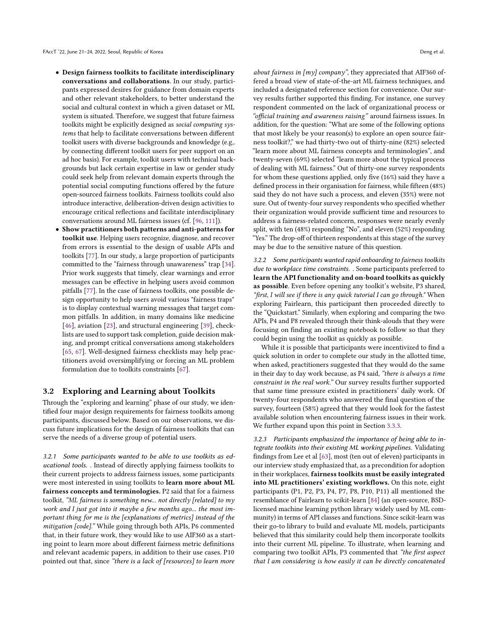- Design fairness toolkits to facilitate interdisciplinary conversations and collaborations. In our study, participants expressed desires for guidance from domain experts and other relevant stakeholders, to better understand the social and cultural context in which a given dataset or ML system is situated. Therefore, we suggest that future fairness toolkits might be explicitly designed as social computing systems that help to facilitate conversations between different toolkit users with diverse backgrounds and knowledge (e.g,. by connecting different toolkit users for peer support on an ad hoc basis). For example, toolkit users with technical backgrounds but lack certain expertise in law or gender study could seek help from relevant domain experts through the potential social computing functions offered by the future open-sourced fairness toolkits. Fairness toolkits could also introduce interactive, deliberation-driven design activities to encourage critical reflections and facilitate interdisciplinary conversations around ML fairness issues (cf. [\[96,](#page-11-17) [111\]](#page-11-18)).
- Show practitioners both patterns and anti-patterns for toolkit use. Helping users recognize, diagnose, and recover from errors is essential to the design of usable APIs and toolkits [\[77\]](#page-10-18). In our study, a large proportion of participants committed to the "fairness through unawareness" trap [\[34\]](#page-9-31). Prior work suggests that timely, clear warnings and error messages can be effective in helping users avoid common pitfalls [\[77\]](#page-10-18). In the case of fairness toolkits, one possible design opportunity to help users avoid various "fairness traps" is to display contextual warning messages that target common pitfalls. In addition, in many domains like medicine [\[46\]](#page-10-32), aviation [\[23\]](#page-9-38), and structural engineering [\[39\]](#page-9-39), checklists are used to support task completion, guide decision making, and prompt critical conversations among stakeholders [\[65,](#page-10-33) [67\]](#page-10-21). Well-designed fairness checklists may help practitioners avoid oversimplifying or forcing an ML problem formulation due to toolkits constraints [\[67\]](#page-10-21).

#### 3.2 Exploring and Learning about Toolkits

Through the "exploring and learning" phase of our study, we identified four major design requirements for fairness toolkits among participants, discussed below. Based on our observations, we discuss future implications for the design of fairness toolkits that can serve the needs of a diverse group of potential users.

3.2.1 Some participants wanted to be able to use toolkits as educational tools. . Instead of directly applying fairness toolkits to their current projects to address fairness issues, some participants were most interested in using toolkits to learn more about ML fairness concepts and terminologies. P2 said that for a fairness toolkit, "ML fairness is something new... not directly [related] to my work and I just got into it maybe a few months ago... the most important thing for me is the [explanations of metrics] instead of the mitigation [code]." While going through both APIs, P6 commented that, in their future work, they would like to use AIF360 as a starting point to learn more about different fairness metric definitions and relevant academic papers, in addition to their use cases. P10 pointed out that, since "there is a lack of [resources] to learn more

about fairness in [my] company", they appreciated that AIF360 offered a broad view of state-of-the-art ML fairness techniques, and included a designated reference section for convenience. Our survey results further supported this finding. For instance, one survey respondent commented on the lack of organizational process or "official training and awareness raising" around fairness issues. In addition, for the question: "What are some of the following options that most likely be your reason(s) to explore an open source fairness toolkit?," we had thirty-two out of thirty-nine (82%) selected "learn more about ML fairness concepts and terminologies", and twenty-seven (69%) selected "learn more about the typical process of dealing with ML fairness." Out of thirty-one survey respondents for whom these questions applied, only five (16%) said they have a defined process in their organisation for fairness, while fifteen (48%) said they do not have such a process, and eleven (35%) were not sure. Out of twenty-four survey respondents who specified whether their organization would provide sufficient time and resources to address a fairness-related concern, responses were nearly evenly split, with ten (48%) responding "No", and eleven (52%) responding "Yes." The drop-off of thirteen respondents at this stage of the survey may be due to the sensitive nature of this question.

3.2.2 Some participants wanted rapid onboarding to fairness toolkits due to workplace time constraints. . Some participants preferred to learn the API functionality and on-board toolkits as quickly as possible. Even before opening any toolkit's website, P3 shared, "first, I will see if there is any quick tutorial I can go through." When exploring Fairlearn, this participant then proceeded directly to the "Quickstart." Similarly, when exploring and comparing the two APIs, P4 and P8 revealed through their think-alouds that they were focusing on finding an existing notebook to follow so that they could begin using the toolkit as quickly as possible.

While it is possible that participants were incentivized to find a quick solution in order to complete our study in the allotted time, when asked, practitioners suggested that they would do the same in their day to day work because, as P4 said, "there is always a time constraint in the real work." Our survey results further supported that same time pressure existed in practitioners' daily work. Of twenty-four respondents who answered the final question of the survey, fourteen (58%) agreed that they would look for the fastest available solution when encountering fairness issues in their work. We further expand upon this point in Section [3.3.3.](#page-7-0)

3.2.3 Participants emphasized the importance of being able to integrate toolkits into their existing ML working pipelines. Validating findings from Lee et al [\[63\]](#page-10-6), most (ten out of eleven) participants in our interview study emphasized that, as a precondition for adoption in their workplaces, fairness toolkits must be easily integrated into ML practitioners' existing workflows. On this note, eight participants (P1, P2, P3, P4, P7, P8, P10, P11) all mentioned the resemblance of Fairlearn to scikit-learn [\[84\]](#page-10-34) (an open-source, BSDlicensed machine learning python library widely used by ML community) in terms of API classes and functions. Since scikit-learn was their go-to library to build and evaluate ML models, participants believed that this similarity could help them incorporate toolkits into their current ML pipeline. To illustrate, when learning and comparing two toolkit APIs, P3 commented that "the first aspect that I am considering is how easily it can be directly concatenated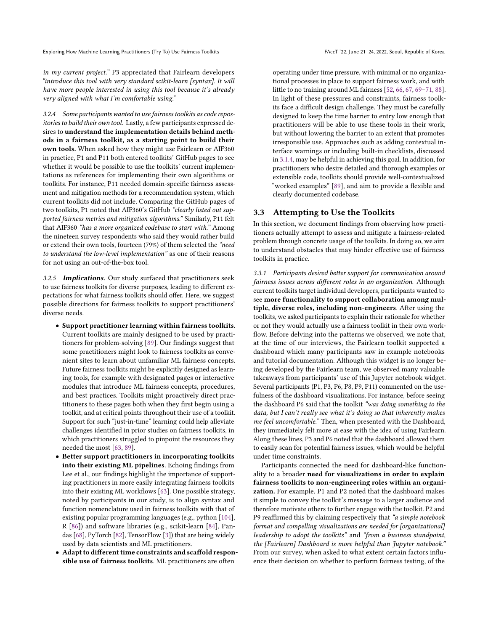Exploring How Machine Learning Practitioners (Try To) Use Fairness Toolkits FACCT 122, June 21-24, 2022, Seoul, Republic of Korea

in my current project." P3 appreciated that Fairlearn developers "introduce this tool with very standard scikit-learn [syntax]. It will have more people interested in using this tool because it's already very aligned with what I'm comfortable using."

3.2.4 Some participants wanted to use fairness toolkits as code repositories to build their own tool. Lastly, a few participants expressed desires to understand the implementation details behind methods in a fairness toolkit, as a starting point to build their own tools. When asked how they might use Fairlearn or AIF360 in practice, P1 and P11 both entered toolkits' GitHub pages to see whether it would be possible to use the toolkits' current implementations as references for implementing their own algorithms or toolkits. For instance, P11 needed domain-specific fairness assessment and mitigation methods for a recommendation system, which current toolkits did not include. Comparing the GitHub pages of two toolkits, P1 noted that AIF360's GitHub "clearly listed out supported fairness metrics and mitigation algorithms." Similarly, P11 felt that AIF360 "has a more organized codebase to start with." Among the nineteen survey respondents who said they would rather build or extend their own tools, fourteen (79%) of them selected the "need to understand the low-level implementation" as one of their reasons for not using an out-of-the-box tool.

3.2.5 Implications. Our study surfaced that practitioners seek to use fairness toolkits for diverse purposes, leading to different expectations for what fairness toolkits should offer. Here, we suggest possible directions for fairness toolkits to support practitioners' diverse needs.

- Support practitioner learning within fairness toolkits. Current toolkits are mainly designed to be used by practitioners for problem-solving [\[89\]](#page-10-7). Our findings suggest that some practitioners might look to fairness toolkits as convenient sites to learn about unfamiliar ML fairness concepts. Future fairness toolkits might be explicitly designed as learning tools, for example with designated pages or interactive modules that introduce ML fairness concepts, procedures, and best practices. Toolkits might proactively direct practitioners to these pages both when they first begin using a toolkit, and at critical points throughout their use of a toolkit. Support for such "just-in-time" learning could help alleviate challenges identified in prior studies on fairness toolkits, in which practitioners struggled to pinpoint the resources they needed the most [\[63,](#page-10-6) [89\]](#page-10-7).
- Better support practitioners in incorporating toolkits into their existing ML pipelines. Echoing findings from Lee et al., our findings highlight the importance of supporting practitioners in more easily integrating fairness toolkits into their existing ML workflows [\[63\]](#page-10-6). One possible strategy, noted by participants in our study, is to align syntax and function nomenclature used in fairness toolkits with that of existing popular programming languages (e.g., python [\[104\]](#page-11-19), R [\[86\]](#page-10-35)) and software libraries (e.g., scikit-learn [\[84\]](#page-10-34), Pandas [\[68\]](#page-10-36), PyTorch [\[82\]](#page-10-37), TensorFlow [\[3\]](#page-9-40)) that are being widely used by data scientists and ML practitioners.
- Adapt to different time constraints and scaffold responsible use of fairness toolkits. ML practitioners are often

operating under time pressure, with minimal or no organizational processes in place to support fairness work, and with little to no training around ML fairness [\[52,](#page-10-8) [66,](#page-10-20) [67,](#page-10-21) [69](#page-10-38)[–71,](#page-10-27) [88\]](#page-10-39). In light of these pressures and constraints, fairness toolkits face a difficult design challenge. They must be carefully designed to keep the time barrier to entry low enough that practitioners will be able to use these tools in their work, but without lowering the barrier to an extent that promotes irresponsible use. Approaches such as adding contextual interface warnings or including built-in checklists, discussed in [3.1.4,](#page-4-0) may be helpful in achieving this goal. In addition, for practitioners who desire detailed and thorough examples or extensible code, toolkits should provide well-contextualized "worked examples" [\[89\]](#page-10-7), and aim to provide a flexible and clearly documented codebase.

## <span id="page-6-0"></span>3.3 Attempting to Use the Toolkits

In this section, we document findings from observing how practitioners actually attempt to assess and mitigate a fairness-related problem through concrete usage of the toolkits. In doing so, we aim to understand obstacles that may hinder effective use of fairness toolkits in practice.

3.3.1 Participants desired better support for communication around fairness issues across different roles in an organization. Although current toolkits target individual developers, participants wanted to see more functionality to support collaboration among multiple, diverse roles, including non-engineers. After using the toolkits, we asked participants to explain their rationale for whether or not they would actually use a fairness toolkit in their own workflow. Before delving into the patterns we observed, we note that, at the time of our interviews, the Fairlearn toolkit supported a dashboard which many participants saw in example notebooks and tutorial documentation. Although this widget is no longer being developed by the Fairlearn team, we observed many valuable takeaways from participants' use of this Jupyter notebook widget. Several participants (P1, P3, P6, P8, P9, P11) commented on the usefulness of the dashboard visualizations. For instance, before seeing the dashboard P6 said that the toolkit "was doing something to the data, but I can't really see what it's doing so that inherently makes me feel uncomfortable." Then, when presented with the Dashboard, they immediately felt more at ease with the idea of using Fairlearn. Along these lines, P3 and P6 noted that the dashboard allowed them to easily scan for potential fairness issues, which would be helpful under time constraints.

Participants connected the need for dashboard-like functionality to a broader need for visualizations in order to explain fairness toolkits to non-engineering roles within an organization. For example, P1 and P2 noted that the dashboard makes it simple to convey the toolkit's message to a larger audience and therefore motivate others to further engage with the toolkit. P2 and P9 reaffirmed this by claiming respectively that "a simple notebook format and compelling visualizations are needed for [organizational] leadership to adopt the toolkits" and "from a business standpoint, the [Fairlearn] Dashboard is more helpful than Jupyter notebook." From our survey, when asked to what extent certain factors influence their decision on whether to perform fairness testing, of the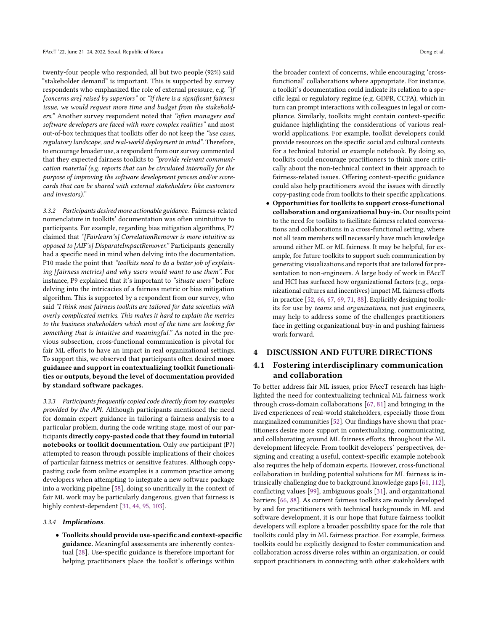twenty-four people who responded, all but two people (92%) said "stakeholder demand" is important. This is supported by survey respondents who emphasized the role of external pressure, e.g. "if [concerns are] raised by superiors" or "if there is a significant fairness issue, we would request more time and budget from the stakeholders." Another survey respondent noted that "often managers and software developers are faced with more complex realities" and most out-of-box techniques that toolkits offer do not keep the "use cases, regulatory landscape, and real-world deployment in mind". Therefore, to encourage broader use, a respondent from our survey commented that they expected fairness toolkits to "provide relevant communication material (e.g. reports that can be circulated internally for the purpose of improving the software development process and/or scorecards that can be shared with external stakeholders like customers and investors)."

3.3.2 Participants desired more actionable guidance. Fairness-related nomenclature in toolkits' documentation was often unintuitive to participants. For example, regarding bias mitigation algorithms, P7 claimed that "[Fairlearn's] CorrelationRemover is more intuitive as opposed to [AIF's] DisparateImpactRemover." Participants generally had a specific need in mind when delving into the documentation. P10 made the point that "toolkits need to do a better job of explaining [fairness metrics] and why users would want to use them". For instance, P9 explained that it's important to "situate users" before delving into the intricacies of a fairness metric or bias mitigation algorithm. This is supported by a respondent from our survey, who said "I think most fairness toolkits are tailored for data scientists with overly complicated metrics. This makes it hard to explain the metrics to the business stakeholders which most of the time are looking for something that is intuitive and meaningful." As noted in the previous subsection, cross-functional communication is pivotal for fair ML efforts to have an impact in real organizational settings. To support this, we observed that participants often desired more guidance and support in contextualizing toolkit functionalities or outputs, beyond the level of documentation provided by standard software packages.

<span id="page-7-0"></span>3.3.3 Participants frequently copied code directly from toy examples provided by the API. Although participants mentioned the need for domain expert guidance in tailoring a fairness analysis to a particular problem, during the code writing stage, most of our participants directly copy-pasted code that they found in tutorial notebooks or toolkit documentation. Only one participant (P7) attempted to reason through possible implications of their choices of particular fairness metrics or sensitive features. Although copypasting code from online examples is a common practice among developers when attempting to integrate a new software package into a working pipeline [\[58\]](#page-10-40), doing so uncritically in the context of fair ML work may be particularly dangerous, given that fairness is highly context-dependent [\[31,](#page-9-21) [44,](#page-9-22) [95,](#page-11-20) [103\]](#page-11-8).

#### <span id="page-7-1"></span>3.3.4 Implications.

• Toolkits should provide use-specific and context-specific guidance. Meaningful assessments are inherently contextual [\[28\]](#page-9-33). Use-specific guidance is therefore important for helping practitioners place the toolkit's offerings within

the broader context of concerns, while encouraging 'crossfunctional' collaborations where appropriate. For instance, a toolkit's documentation could indicate its relation to a specific legal or regulatory regime (e.g. GDPR, CCPA), which in turn can prompt interactions with colleagues in legal or compliance. Similarly, toolkits might contain context-specific guidance highlighting the considerations of various realworld applications. For example, toolkit developers could provide resources on the specific social and cultural contexts for a technical tutorial or example notebook. By doing so, toolkits could encourage practitioners to think more critically about the non-technical context in their approach to fairness-related issues. Offering context-specific guidance could also help practitioners avoid the issues with directly copy-pasting code from toolkits to their specific applications.

• Opportunities for toolkits to support cross-functional collaboration and organizational buy-in. Our results point to the need for toolkits to facilitate fairness related conversations and collaborations in a cross-functional setting, where not all team members will necessarily have much knowledge around either ML or ML fairness. It may be helpful, for example, for future toolkits to support such communication by generating visualizations and reports that are tailored for presentation to non-engineers. A large body of work in FAccT and HCI has surfaced how organizational factors (e.g., organizational cultures and incentives) impact ML fairness efforts in practice [\[52,](#page-10-8) [66,](#page-10-20) [67,](#page-10-21) [69,](#page-10-38) [71,](#page-10-27) [88\]](#page-10-39). Explicitly designing toolkits for use by teams and organizations, not just engineers, may help to address some of the challenges practitioners face in getting organizational buy-in and pushing fairness work forward.

#### 4 DISCUSSION AND FUTURE DIRECTIONS

## 4.1 Fostering interdisciplinary communication and collaboration

To better address fair ML issues, prior FAccT research has highlighted the need for contextualizing technical ML fairness work through cross-domain collaborations [\[67,](#page-10-21) [81\]](#page-10-10) and bringing in the lived experiences of real-world stakeholders, especially those from marginalized communities [\[52\]](#page-10-8). Our findings have shown that practitioners desire more support in contextualizing, communicating, and collaborating around ML fairness efforts, throughout the ML development lifecycle. From toolkit developers' perspectives, designing and creating a useful, context-specific example notebook also requires the help of domain experts. However, cross-functional collaboration in building potential solutions for ML fairness is intrinsically challenging due to background knowledge gaps [\[61,](#page-10-41) [112\]](#page-11-21), conflicting values [\[99\]](#page-11-22), ambiguous goals [\[31\]](#page-9-21), and organizational barriers [\[66,](#page-10-20) [88\]](#page-10-39). As current fairness toolkits are mainly developed by and for practitioners with technical backgrounds in ML and software development, it is our hope that future fairness toolkit developers will explore a broader possibility space for the role that toolkits could play in ML fairness practice. For example, fairness toolkits could be explicitly designed to foster communication and collaboration across diverse roles within an organization, or could support practitioners in connecting with other stakeholders with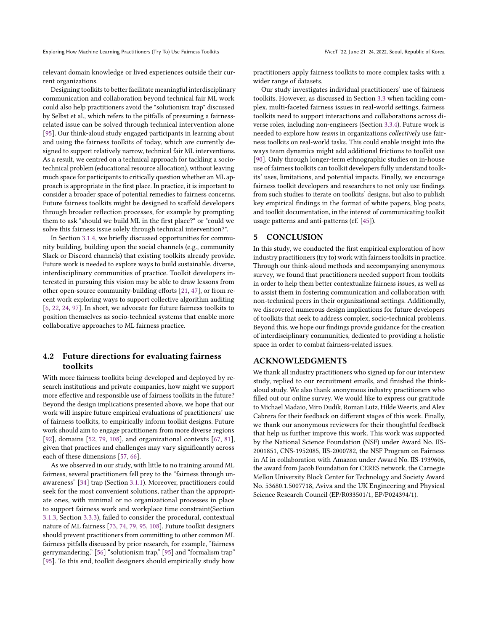relevant domain knowledge or lived experiences outside their current organizations.

Designing toolkits to better facilitate meaningful interdisciplinary communication and collaboration beyond technical fair ML work could also help practitioners avoid the "solutionism trap" discussed by Selbst et al., which refers to the pitfalls of presuming a fairnessrelated issue can be solved through technical intervention alone [\[95\]](#page-11-20). Our think-aloud study engaged participants in learning about and using the fairness toolkits of today, which are currently designed to support relatively narrow, technical fair ML interventions. As a result, we centred on a technical approach for tackling a sociotechnical problem (educational resource allocation), without leaving much space for participants to critically question whether an ML approach is appropriate in the first place. In practice, it is important to consider a broader space of potential remedies to fairness concerns. Future fairness toolkits might be designed to scaffold developers through broader reflection processes, for example by prompting them to ask "should we build ML in the first place?" or "could we solve this fairness issue solely through technical intervention?".

In Section [3.1.4,](#page-4-0) we briefly discussed opportunities for community building, building upon the social channels (e.g., community Slack or Discord channels) that existing toolkits already provide. Future work is needed to explore ways to build sustainable, diverse, interdisciplinary communities of practice. Toolkit developers interested in pursuing this vision may be able to draw lessons from other open-source community-building efforts [\[21,](#page-9-41) [47\]](#page-10-42), or from recent work exploring ways to support collective algorithm auditing [\[6,](#page-9-42) [22,](#page-9-11) [24,](#page-9-43) [97\]](#page-11-23). In short, we advocate for future fairness toolkits to position themselves as socio-technical systems that enable more collaborative approaches to ML fairness practice.

## 4.2 Future directions for evaluating fairness toolkits

With more fairness toolkits being developed and deployed by research institutions and private companies, how might we support more effective and responsible use of fairness toolkits in the future? Beyond the design implications presented above, we hope that our work will inspire future empirical evaluations of practitioners' use of fairness toolkits, to empirically inform toolkit designs. Future work should aim to engage practitioners from more diverse regions [\[92\]](#page-11-6), domains [\[52,](#page-10-8) [79,](#page-10-13) [108\]](#page-11-7), and organizational contexts [\[67,](#page-10-21) [81\]](#page-10-10), given that practices and challenges may vary significantly across each of these dimensions [\[57,](#page-10-43) [66\]](#page-10-20).

As we observed in our study, with little to no training around ML fairness, several practitioners fell prey to the "fairness through unawareness" [\[34\]](#page-9-31) trap (Section [3.1.1\)](#page-4-1). Moreover, practitioners could seek for the most convenient solutions, rather than the appropriate ones, with minimal or no organizational processes in place to support fairness work and workplace time constraint(Section [3.1.3,](#page-4-2) Section [3.3.3\)](#page-7-0), failed to consider the procedural, contextual nature of ML fairness [\[73,](#page-10-11) [74,](#page-10-12) [79,](#page-10-13) [95,](#page-11-20) [108\]](#page-11-7). Future toolkit designers should prevent practitioners from committing to other common ML fairness pitfalls discussed by prior research, for example, "fairness gerrymandering," [\[56\]](#page-10-44) "solutionism trap," [\[95\]](#page-11-20) and "formalism trap" [\[95\]](#page-11-20). To this end, toolkit designers should empirically study how

practitioners apply fairness toolkits to more complex tasks with a wider range of datasets.

Our study investigates individual practitioners' use of fairness toolkits. However, as discussed in Section [3.3](#page-6-0) when tackling complex, multi-faceted fairness issues in real-world settings, fairness toolkits need to support interactions and collaborations across diverse roles, including non-engineers (Section [3.3.4\)](#page-7-1). Future work is needed to explore how teams in organizations collectively use fairness toolkits on real-world tasks. This could enable insight into the ways team dynamics might add additional frictions to toolkit use [\[90\]](#page-10-45). Only through longer-term ethnographic studies on in-house use of fairness toolkits can toolkit developers fully understand toolkits' uses, limitations, and potential impacts. Finally, we encourage fairness toolkit developers and researchers to not only use findings from such studies to iterate on toolkits' designs, but also to publish key empirical findings in the format of white papers, blog posts, and toolkit documentation, in the interest of communicating toolkit usage patterns and anti-patterns (cf. [\[45\]](#page-9-44)).

## 5 CONCLUSION

In this study, we conducted the first empirical exploration of how industry practitioners (try to) work with fairness toolkits in practice. Through our think-aloud methods and accompanying anonymous survey, we found that practitioners needed support from toolkits in order to help them better contextualize fairness issues, as well as to assist them in fostering communication and collaboration with non-technical peers in their organizational settings. Additionally, we discovered numerous design implications for future developers of toolkits that seek to address complex, socio-technical problems. Beyond this, we hope our findings provide guidance for the creation of interdisciplinary communities, dedicated to providing a holistic space in order to combat fairness-related issues.

## ACKNOWLEDGMENTS

We thank all industry practitioners who signed up for our interview study, replied to our recruitment emails, and finished the thinkaloud study. We also thank anonymous industry practitioners who filled out our online survey. We would like to express our gratitude to Michael Madaio, Miro Dudik, Roman Lutz, Hilde Weerts, and Alex Cabrera for their feedback on different stages of this work. Finally, we thank our anonymous reviewers for their thoughtful feedback that help us further improve this work. This work was supported by the National Science Foundation (NSF) under Award No. IIS-2001851, CNS-1952085, IIS-2000782, the NSF Program on Fairness in AI in collaboration with Amazon under Award No. IIS-1939606, the award from Jacob Foundation for CERES network, the Carnegie Mellon University Block Center for Technology and Society Award No. 53680.1.5007718, Aviva and the UK Engineering and Physical Science Research Council (EP/R033501/1, EP/P024394/1).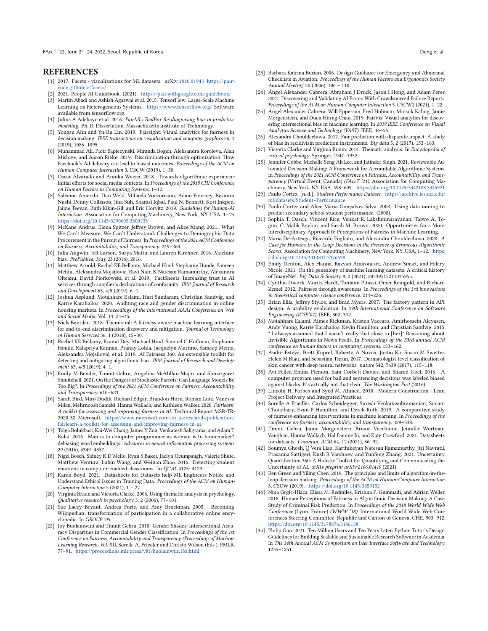FAccT '22, June 21-24, 2022, Seoul, Republic of Korea Deng et al. 2021 and 2021 and 2021 and 2021 and 2021 and 2021 and 2021 and 2021 and 2021 and 2021 and 2021 and 2021 and 2021 and 2021 and 2021 and 2021 and 2021 and 202

#### **REFERENCES**

- <span id="page-9-34"></span>[1] 2017. Facets - visualizations for ML datasets. arXiv[:1810.01943](https://arxiv.org/abs/1810.01943) [https://pair](https://pair-code.github.io/facets/)[code.github.io/facets/](https://pair-code.github.io/facets/)
- <span id="page-9-16"></span>[2] 2021. People AI Guidebook. (2021). <https://pair.withgoogle.com/guidebook/>
- <span id="page-9-40"></span>Martín Abadi and Ashish Agarwal et al. 2015. TensorFlow: Large-Scale Machine Learning on Heterogeneous Systems. <https://www.tensorflow.org/> Software available from tensorflow.org.
- <span id="page-9-12"></span>[4] Julius A Adebayo et al. 2016. FairML: ToolBox for diagnosing bias in predictive modeling. Ph. D. Dissertation. Massachusetts Institute of Technology.
- <span id="page-9-36"></span>[5] Yongsu Ahn and Yu-Ru Lin. 2019. Fairsight: Visual analytics for fairness in decision making. IEEE transactions on visualization and computer graphics 26, 1 (2019), 1086–1095.
- <span id="page-9-42"></span>[6] Muhammad Ali, Piotr Sapiezynski, Miranda Bogen, Aleksandra Korolova, Alan Mislove, and Aaron Rieke. 2019. Discrimination through optimization: How Facebook's Ad delivery can lead to biased outcomes. Proceedings of the ACM on Human-Computer Interaction 3, CSCW (2019), 1–30.
- <span id="page-9-2"></span>[7] Oscar Alvarado and Annika Waern. 2018. Towards algorithmic experience: Initial efforts for social media contexts. In Proceedings of the 2018 CHI Conference on Human Factors in Computing Systems. 1–12.
- <span id="page-9-17"></span>[8] Saleema Amershi, Dan Weld, Mihaela Vorvoreanu, Adam Fourney, Besmira Nushi, Penny Collisson, Jina Suh, Shamsi Iqbal, Paul N. Bennett, Kori Inkpen, Jaime Teevan, Ruth Kikin-Gil, and Eric Horvitz. 2019. Guidelines for Human-AI Interaction. Association for Computing Machinery, New York, NY, USA, 1–13. <https://doi.org/10.1145/3290605.3300233>
- <span id="page-9-20"></span>[9] McKane Andrus, Elena Spitzer, Jeffrey Brown, and Alice Xiang. 2021. What We Can't Measure, We Can't Understand: Challenges to Demographic Data Procurement in the Pursuit of Fairness. In Proceedings of the 2021 ACM Conference on Fairness, Accountability, and Transparency. 249–260.
- <span id="page-9-26"></span>[10] Julia Angwin, Jeff Larson, Surva Mattu, and Lauren Kirchner, 2016. Machine bias. ProPublica, May 23 (2016), 2016.
- <span id="page-9-18"></span>[11] Matthew Arnold, Rachel KE Bellamy, Michael Hind, Stephanie Houde, Sameep Mehta, Aleksandra Mojsilović, Ravi Nair, K Natesan Ramamurthy, Alexandra Olteanu, David Piorkowski, et al. 2019. FactSheets: Increasing trust in AI services through supplier's declarations of conformity. IBM Journal of Research and Development 63, 4/5 (2019), 6–1.
- <span id="page-9-8"></span>[12] Joshua Asplund, Motahhare Eslami, Hari Sundaram, Christian Sandvig, and Karrie Karahalios. 2020. Auditing race and gender discrimination in online housing markets. In Proceedings of the International AAAI Conference on Web and Social Media, Vol. 14. 24–35.
- <span id="page-9-13"></span>[13] Niels Bantilan. 2018. Themis-ml: A fairness-aware machine learning interface for end-to-end discrimination discovery and mitigation. Journal of Technology in Human Services 36, 1 (2018), 15–30.
- <span id="page-9-14"></span>Rachel KE Bellamy, Kuntal Dey, Michael Hind, Samuel C Hoffman, Stephanie Houde, Kalapriya Kannan, Pranay Lohia, Jacquelyn Martino, Sameep Mehta, Aleksandra Mojsilović, et al. 2019. AI Fairness 360: An extensible toolkit for detecting and mitigating algorithmic bias. IBM Journal of Research and Development 63, 4/5 (2019), 4–1.
- <span id="page-9-9"></span>[15] Emily M Bender, Timnit Gebru, Angelina McMillan-Major, and Shmargaret Shmitchell. 2021. On the Dangers of Stochastic Parrots: Can Language Models Be Too Big?. In Proceedings of the 2021 ACM Conference on Fairness, Accountability, and Transparency. 610–623.
- <span id="page-9-15"></span>[16] Sarah Bird, Miro Dudík, Richard Edgar, Brandon Horn, Roman Lutz, Vanessa Milan, Mehrnoosh Sameki, Hanna Wallach, and Kathleen Walker. 2020. Fairlearn: A toolkit for assessing and improving fairness in AI. Technical Report MSR-TR-2020-32. Microsoft. [https://www.microsoft.com/en-us/research/publication/](https://www.microsoft.com/en-us/research/publication/fairlearn-a-toolkit-for-assessing-and-improving-fairness-in-ai/) [fairlearn-a-toolkit-for-assessing-and-improving-fairness-in-ai/](https://www.microsoft.com/en-us/research/publication/fairlearn-a-toolkit-for-assessing-and-improving-fairness-in-ai/)
- <span id="page-9-10"></span>[17] Tolga Bolukbasi, Kai-Wei Chang, James Y Zou, Venkatesh Saligrama, and Adam T Kalai. 2016. Man is to computer programmer as woman is to homemaker? debiasing word embeddings. Advances in neural information processing systems 29 (2016), 4349–4357.
- <span id="page-9-0"></span>[18] Nigel Bosch, Sidney K D'Mello, Ryan S Baker, Jaclyn Ocumpaugh, Valerie Shute, Matthew Ventura, Lubin Wang, and Weinan Zhao. 2016. Detecting student emotions in computer-enabled classrooms.. In IJCAI. 4125-4129.
- <span id="page-9-37"></span>[19] Karen Boyd. 2021. Datasheets for Datasets help ML Engineers Notice and Understand Ethical Issues in Training Data. Proceedings of the ACM on Human-Computer Interaction 5 (2021), 1 – 27.
- <span id="page-9-28"></span>[20] Virginia Braun and Victoria Clarke. 2006. Using thematic analysis in psychology. Qualitative research in psychology 3, 2 (2006), 77–101.
- <span id="page-9-41"></span>[21] Sue Lacey Bryant, Andrea Forte, and Amy Bruckman. 2005. Becoming Wikipedian: transformation of participation in a collaborative online encyclopedia. In GROUP '05.
- <span id="page-9-11"></span>[22] Joy Buolamwini and Timnit Gebru. 2018. Gender Shades: Intersectional Accuracy Disparities in Commercial Gender Classification. In Proceedings of the 1st Conference on Fairness, Accountability and Transparency (Proceedings of Machine Learning Research, Vol. 81), Sorelle A. Friedler and Christo Wilson (Eds.). PMLR, 77–91. <https://proceedings.mlr.press/v81/buolamwini18a.html>
- <span id="page-9-38"></span>[23] Barbara Katrina Burian. 2006. Design Guidance for Emergency and Abnormal Checklists in Aviation. Proceedings of the Human Factors and Ergonomics Society Annual Meeting 50 (2006), 106 – 110.
- <span id="page-9-43"></span>[24] Ángel Alexander Cabrera, Abraham J Druck, Jason I Hong, and Adam Perer. 2021. Discovering and Validating AI Errors With Crowdsourced Failure Reports. Proceedings of the ACM on Human-Computer Interaction 5, CSCW2 (2021), 1–22.
- <span id="page-9-35"></span>[25] Ángel Alexander Cabrera, Will Epperson, Fred Hohman, Minsuk Kahng, Jamie Morgenstern, and Duen Horng Chau. 2019. FairVis: Visual analytics for discovering intersectional bias in machine learning. In 2019 IEEE Conference on Visual Analytics Science and Technology (VAST). IEEE, 46–56.
- <span id="page-9-6"></span>[26] Alexandra Chouldechova. 2017. Fair prediction with disparate impact: A study of bias in recidivism prediction instruments. Big data 5, 2 (2017), 153–163.
- <span id="page-9-29"></span>[27] Victoria Clarke and Virginia Braun. 2014. Thematic analysis. In Encyclopedia of critical psychology. Springer, 1947–1952.
- <span id="page-9-33"></span>[28] Jennifer Cobbe, Michelle Seng Ah Lee, and Jatinder Singh. 2021. Reviewable Automated Decision-Making: A Framework for Accountable Algorithmic Systems. In Proceedings of the 2021 ACM Conference on Fairness, Accountability, and Transparency (Virtual Event, Canada) (FAccT '21). Association for Computing Machinery, New York, NY, USA, 598–609. <https://doi.org/10.1145/3442188.3445921>
- <span id="page-9-24"></span>[29] Paulo Cortez. [n. d.]. Student Performance Dataset. [https://archive.ics.uci.edu/](https://archive.ics.uci.edu/ml/datasets/Student+Performance) [ml/datasets/Student+Performance](https://archive.ics.uci.edu/ml/datasets/Student+Performance)
- <span id="page-9-25"></span>[30] Paulo Cortez and Alice Maria Gonçalves Silva. 2008. Using data mining to predict secondary school student performance. (2008).
- <span id="page-9-21"></span>[31] Sophia T. Dasch, Vincent Rice, Venkat R. Lakshminarayanan, Taiwo A. Togun, C. Malik Boykin, and Sarah M. Brown. 2020. Opportunities for a More Interdisciplinary Approach to Perceptions of Fairness in Machine Learning.
- <span id="page-9-4"></span>[32] Maria De-Arteaga, Riccardo Fogliato, and Alexandra Chouldechova. 2020. A Case for Humans-in-the-Loop: Decisions in the Presence of Erroneous Algorithmic Scores. Association for Computing Machinery, New York, NY, USA, 1–12. [https:](https://doi.org/10.1145/3313831.3376638) [//doi.org/10.1145/3313831.3376638](https://doi.org/10.1145/3313831.3376638)
- <span id="page-9-32"></span>[33] Emily Denton, Alex Hanna, Razvan Amironesei, Andrew Smart, and Hilary Nicole. 2021. On the genealogy of machine learning datasets: A critical history of ImageNet. Big Data & Society 8, 2 (2021), 20539517211035955.
- <span id="page-9-31"></span>[34] Cynthia Dwork, Moritz Hardt, Toniann Pitassi, Omer Reingold, and Richard Zemel. 2012. Fairness through awareness. In Proceedings of the 3rd innovations in theoretical computer science conference. 214–226.
- <span id="page-9-23"></span>[35] Brian Ellis, Jeffrey Stylos, and Brad Myers. 2007. The factory pattern in API design: A usability evaluation. In 29th International Conference on Software Engineering (ICSE'07). IEEE, 302–312.
- <span id="page-9-3"></span>[36] Motahhare Eslami, Aimee Rickman, Kristen Vaccaro, Amirhossein Aleyasen, Andy Vuong, Karrie Karahalios, Kevin Hamilton, and Christian Sandvig. 2015. " I always assumed that I wasn't really that close to [her]" Reasoning about Invisible Algorithms in News Feeds. In Proceedings of the 33rd annual ACM conference on human factors in computing systems. 153–162.
- <span id="page-9-1"></span>[37] Andre Esteva, Brett Kuprel, Roberto A Novoa, Justin Ko, Susan M Swetter, Helen M Blau, and Sebastian Thrun. 2017. Dermatologist-level classification of skin cancer with deep neural networks. nature 542, 7639 (2017), 115–118.
- <span id="page-9-7"></span>[38] Avi Feller, Emma Pierson, Sam Corbett-Davies, and Sharad Goel. 2016. A computer program used for bail and sentencing decisions was labeled biased against blacks. It's actually not that clear. The Washington Post (2016).
- <span id="page-9-39"></span>[39] Lincoln H. Forbes and Syed M. Ahmed. 2010. Modern Construction : Lean Project Delivery and Integrated Practices.
- <span id="page-9-27"></span>[40] Sorelle A Friedler, Carlos Scheidegger, Suresh Venkatasubramanian, Sonam Choudhary, Evan P Hamilton, and Derek Roth. 2019. A comparative study of fairness-enhancing interventions in machine learning. In Proceedings of the conference on fairness, accountability, and transparency. 329–338.
- <span id="page-9-30"></span>[41] Timnit Gebru, Jamie Morgenstern, Briana Vecchione, Jennifer Wortman Vaughan, Hanna Wallach, Hal Daumé Iii, and Kate Crawford. 2021. Datasheets for datasets. Commun. ACM 64, 12 (2021), 86–92.
- <span id="page-9-19"></span>[42] Soumya Ghosh, Q Vera Liao, Karthikeyan Natesan Ramamurthy, Jiri Navratil, Prasanna Sattigeri, Kush R Varshney, and Yunfeng Zhang. 2021. Uncertainty Quantification 360: A Holistic Toolkit for Quantifying and Communicating the Uncertainty of AI. arXiv preprint arXiv:2106.01410 (2021).
- <span id="page-9-5"></span>[43] Ben Green and Yiling Chen. 2019. The principles and limits of algorithm-in-theloop decision making. Proceedings of the ACM on Human-Computer Interaction 3, CSCW (2019). <https://doi.org/10.1145/3359152>
- <span id="page-9-22"></span>[44] Nina Grgic-Hlaca, Elissa M. Redmiles, Krishna P. Gummadi, and Adrian Weller. 2018. Human Perceptions of Fairness in Algorithmic Decision Making: A Case Study of Criminal Risk Prediction. In Proceedings of the 2018 World Wide Web Conference (Lyon, France) (WWW '18). International World Wide Web Conferences Steering Committee, Republic and Canton of Geneva, CHE, 903–912. <https://doi.org/10.1145/3178876.3186138>
- <span id="page-9-44"></span>[45] Philip Guo. 2021. Ten Million Users and Ten Years Later: Python Tutor's Design Guidelines for Building Scalable and Sustainable Research Software in Academia. In The 34th Annual ACM Symposium on User Interface Software and Technology. 1235–1251.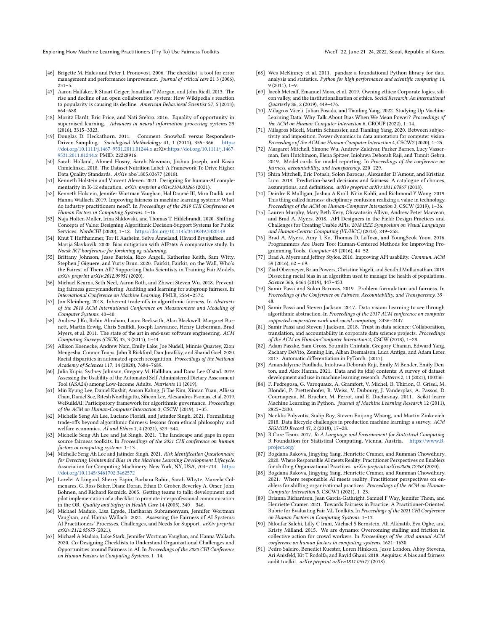Exploring How Machine Learning Practitioners (Try To) Use Fairness Toolkits FACCT 122, June 21-24, 2022, Seoul, Republic of Korea

- <span id="page-10-32"></span>[46] Brigette M. Hales and Peter J. Pronovost. 2006. The checklist–a tool for error management and performance improvement. Journal of critical care 21 3 (2006),  $231 - 5$
- <span id="page-10-42"></span>[47] Aaron Halfaker, R Stuart Geiger, Jonathan T Morgan, and John Riedl. 2013. The rise and decline of an open collaboration system: How Wikipedia's reaction to popularity is causing its decline. American Behavioral Scientist 57, 5 (2013), 664–688.
- <span id="page-10-2"></span>[48] Moritz Hardt, Eric Price, and Nati Srebro. 2016. Equality of opportunity in supervised learning. Advances in neural information processing systems 29 (2016), 3315–3323.
- <span id="page-10-24"></span>[49] Douglas D. Heckathorn. 2011. Comment: Snowball versus Respondent-Driven Sampling. Sociological Methodology 41, 1 (2011), 355-366. [//doi.org/10.1111/j.1467-9531.2011.01244.x](https://doi.org/10.1111/j.1467-9531.2011.01244.x) arXiv[:https://doi.org/10.1111/j.1467-](https://arxiv.org/abs/https://doi.org/10.1111/j.1467-9531.2011.01244.x) [9531.2011.01244.x](https://arxiv.org/abs/https://doi.org/10.1111/j.1467-9531.2011.01244.x) PMID: 22228916.
- <span id="page-10-30"></span>[50] Sarah Holland, Ahmed Hosny, Sarah Newman, Joshua Joseph, and Kasia Chmielinski. 2018. The Dataset Nutrition Label: A Framework To Drive Higher Data Quality Standards. ArXiv abs/1805.03677 (2018).
- <span id="page-10-0"></span>[51] Kenneth Holstein and Vincent Aleven. 2021. Designing for human-AI complementarity in K-12 education. arXiv preprint arXiv:2104.01266 (2021).
- <span id="page-10-8"></span>[52] Kenneth Holstein, Jennifer Wortman Vaughan, Hal Daumé III, Miro Dudik, and Hanna Wallach. 2019. Improving fairness in machine learning systems: What do industry practitioners need?. In Proceedings of the 2019 CHI Conference on Human Factors in Computing Systems. 1–16.
- <span id="page-10-1"></span>[53] Naja Holten Møller, Irina Shklovski, and Thomas T. Hildebrandt. 2020. Shifting Concepts of Value: Designing Algorithmic Decision-Support Systems for Public Services. NordiCHI (2020), 1–12. <https://doi.org/10.1145/3419249.3420149>
- <span id="page-10-22"></span>[54] Knut T Hufthammer, Tor H Aasheim, Sølve Ånneland, Håvard Brynjulfsen, and Marija Slavkovik. 2020. Bias mitigation with AIF360: A comparative study. In Norsk IKT-konferanse for forskning og utdanning.
- <span id="page-10-23"></span>[55] Brittany Johnson, Jesse Bartola, Rico Angell, Katherine Keith, Sam Witty, Stephen J Giguere, and Yuriy Brun. 2020. Fairkit, Fairkit, on the Wall, Who's the Fairest of Them All? Supporting Data Scientists in Training Fair Models. arXiv preprint arXiv:2012.09951 (2020).
- <span id="page-10-44"></span>[56] Michael Kearns, Seth Neel, Aaron Roth, and Zhiwei Steven Wu. 2018. Preventing fairness gerrymandering: Auditing and learning for subgroup fairness. In International Conference on Machine Learning. PMLR, 2564–2572.
- <span id="page-10-43"></span>[57] Jon Kleinberg. 2018. Inherent trade-offs in algorithmic fairness. In Abstracts of the 2018 ACM International Conference on Measurement and Modeling of Computer Systems. 40–40.
- <span id="page-10-40"></span>[58] Andrew J Ko, Robin Abraham, Laura Beckwith, Alan Blackwell, Margaret Burnett, Martin Erwig, Chris Scaffidi, Joseph Lawrance, Henry Lieberman, Brad Myers, et al. 2011. The state of the art in end-user software engineering. ACM Computing Surveys (CSUR) 43, 3 (2011), 1–44.
- <span id="page-10-3"></span>[59] Allison Koenecke, Andrew Nam, Emily Lake, Joe Nudell, Minnie Quartey, Zion Mengesha, Connor Toups, John R Rickford, Dan Jurafsky, and Sharad Goel. 2020. Racial disparities in automated speech recognition. Proceedings of the National Academy of Sciences 117, 14 (2020), 7684–7689.
- <span id="page-10-25"></span>[60] Julia Kupis, Sydney Johnson, Gregory M. Hallihan, and Dana Lee Olstad. 2019. Assessing the Usability of the Automated Self-Administered Dietary Assessment Tool (ASA24) among Low-Income Adults. Nutrients 11 (2019).
- <span id="page-10-41"></span>[61] Min Kyung Lee, Daniel Kusbit, Anson Kahng, Ji Tae Kim, Xinran Yuan, Allissa Chan, Daniel See, Ritesh Noothigattu, Siheon Lee, Alexandros Psomas, et al. 2019. WeBuildAI: Participatory framework for algorithmic governance. Proceedings of the ACM on Human-Computer Interaction 3, CSCW (2019), 1–35.
- <span id="page-10-14"></span>[62] Michelle Seng Ah Lee, Luciano Floridi, and Jatinder Singh. 2021. Formalising trade-offs beyond algorithmic fairness: lessons from ethical philosophy and welfare economics. AI and Ethics 1, 4 (2021), 529-544.
- <span id="page-10-6"></span>[63] Michelle Seng Ah Lee and Jat Singh. 2021. The landscape and gaps in open source fairness toolkits. In Proceedings of the 2021 CHI conference on human factors in computing systems. 1–13.
- <span id="page-10-15"></span>[64] Michelle Seng Ah Lee and Jatinder Singh. 2021. Risk Identification Questionnaire for Detecting Unintended Bias in the Machine Learning Development Lifecycle. Association for Computing Machinery, New York, NY, USA, 704–714. [https:](https://doi.org/10.1145/3461702.3462572) [//doi.org/10.1145/3461702.3462572](https://doi.org/10.1145/3461702.3462572)
- <span id="page-10-33"></span>[65] Lorelei A Lingard, Sherry Espin, Barbara Rubin, Sarah Whyte, Marcela Colmenares, G. Ross Baker, Diane Doran, Ethan D. Grober, Beverley A. Orser, John Bohnen, and Richard Reznick. 2005. Getting teams to talk: development and pilot implementation of a checklist to promote interprofessional communication in the OR. Quality and Safety in Health Care 14 (2005), 340 - 346.
- <span id="page-10-20"></span>[66] Michael Madaio, Lisa Egede, Hariharan Subramonyam, Jennifer Wortman Vaughan, and Hanna Wallach. 2021. Assessing the Fairness of AI Systems: AI Practitioners' Processes, Challenges, and Needs for Support. arXiv preprint arXiv:2112.05675 (2021).
- <span id="page-10-21"></span>[67] Michael A Madaio, Luke Stark, Jennifer Wortman Vaughan, and Hanna Wallach. 2020. Co-Designing Checklists to Understand Organizational Challenges and Opportunities around Fairness in AI. In Proceedings of the 2020 CHI Conference on Human Factors in Computing Systems. 1–14.
- <span id="page-10-36"></span>[68] Wes McKinney et al. 2011. pandas: a foundational Python library for data analysis and statistics. Python for high performance and scientific computing 14, 9 (2011), 1–9.
- <span id="page-10-38"></span>[69] Jacob Metcalf, Emanuel Moss, et al. 2019. Owning ethics: Corporate logics, silicon valley, and the institutionalization of ethics. Social Research: An International Quarterly 86, 2 (2019), 449–476.
- <span id="page-10-29"></span>[70] Milagros Miceli, Julian Posada, and Tianling Yang. 2022. Studying Up Machine Learning Data: Why Talk About Bias When We Mean Power? Proceedings of the ACM on Human-Computer Interaction 6, GROUP (2022), 1–14.
- <span id="page-10-27"></span>[71] Milagros Miceli, Martin Schuessler, and Tianling Yang. 2020. Between subjectivity and imposition: Power dynamics in data annotation for computer vision. Proceedings of the ACM on Human-Computer Interaction 4, CSCW2 (2020), 1–25.
- <span id="page-10-31"></span>[72] Margaret Mitchell, Simone Wu, Andrew Zaldivar, Parker Barnes, Lucy Vasserman, Ben Hutchinson, Elena Spitzer, Inioluwa Deborah Raji, and Timnit Gebru. 2019. Model cards for model reporting. In Proceedings of the conference on fairness, accountability, and transparency. 220–229.
- <span id="page-10-11"></span>[73] Shira Mitchell, Eric Potash, Solon Barocas, Alexander D'Amour, and Kristian Lum. 2018. Prediction-based decisions and fairness: A catalogue of choices, assumptions, and definitions. arXiv preprint arXiv:1811.07867 (2018).
- <span id="page-10-12"></span>[74] Deirdre K Mulligan, Joshua A Kroll, Nitin Kohli, and Richmond Y Wong. 2019. This thing called fairness: disciplinary confusion realizing a value in technology. Proceedings of the ACM on Human-Computer Interaction 3, CSCW (2019), 1–36.
- <span id="page-10-16"></span>[75] Lauren Murphy, Mary Beth Kery, Oluwatosin Alliyu, Andrew Peter Macvean, and Brad A. Myers. 2018. API Designers in the Field: Design Practices and Challenges for Creating Usable APIs. 2018 IEEE Symposium on Visual Languages and Human-Centric Computing (VL/HCC) (2018), 249–258.
- <span id="page-10-17"></span>[76] Brad A. Myers, Amy J. Ko, Thomas D. LaToza, and YoungSeok Yoon. 2016. Programmers Are Users Too: Human-Centered Methods for Improving Programming Tools. Computer 49 (2016), 44–52.
- <span id="page-10-18"></span>[77] Brad A. Myers and Jeffrey Stylos. 2016. Improving API usability. Commun. ACM 59 (2016), 62 – 69.
- <span id="page-10-4"></span>[78] Ziad Obermeyer, Brian Powers, Christine Vogeli, and Sendhil Mullainathan. 2019. Dissecting racial bias in an algorithm used to manage the health of populations. Science 366, 6464 (2019), 447–453.
- <span id="page-10-13"></span>[79] Samir Passi and Solon Barocas. 2019. Problem formulation and fairness. In Proceedings of the Conference on Fairness, Accountability, and Transparency. 39– 48.
- <span id="page-10-9"></span>[80] Samir Passi and Steven Jackson. 2017. Data vision: Learning to see through algorithmic abstraction. In Proceedings of the 2017 ACM conference on computer supported cooperative work and social computing. 2436–2447.
- <span id="page-10-10"></span>[81] Samir Passi and Steven J Jackson. 2018. Trust in data science: Collaboration, translation, and accountability in corporate data science projects. Proceedings of the ACM on Human-Computer Interaction 2, CSCW (2018), 1–28.
- <span id="page-10-37"></span>[82] Adam Paszke, Sam Gross, Soumith Chintala, Gregory Chanan, Edward Yang, Zachary DeVito, Zeming Lin, Alban Desmaison, Luca Antiga, and Adam Lerer. 2017. Automatic differentiation in PyTorch. (2017).
- <span id="page-10-28"></span>[83] Amandalynne Paullada, Inioluwa Deborah Raji, Emily M Bender, Emily Denton, and Alex Hanna. 2021. Data and its (dis) contents: A survey of dataset development and use in machine learning research. Patterns 2, 11 (2021), 100336.
- <span id="page-10-34"></span>[84] F. Pedregosa, G. Varoquaux, A. Gramfort, V. Michel, B. Thirion, O. Grisel, M. Blondel, P. Prettenhofer, R. Weiss, V. Dubourg, J. Vanderplas, A. Passos, D. Cournapeau, M. Brucher, M. Perrot, and E. Duchesnay. 2011. Scikit-learn: Machine Learning in Python. Journal of Machine Learning Research 12 (2011), 2825–2830.
- <span id="page-10-26"></span>[85] Neoklis Polyzotis, Sudip Roy, Steven Euijong Whang, and Martin Zinkevich. 2018. Data lifecycle challenges in production machine learning: a survey. ACM SIGMOD Record 47, 2 (2018), 17–28.
- <span id="page-10-35"></span>[86] R Core Team. 2017. R: A Language and Environment for Statistical Computing. R Foundation for Statistical Computing, Vienna, Austria. https://w [project.org/](https://www.R-project.org/)
- <span id="page-10-19"></span>[87] Bogdana Rakova, Jingying Yang, Henriette Cramer, and Rumman Chowdhury. 2020. Where Responsible AI meets Reality: Practitioner Perspectives on Enablers for shifting Organizational Practices. arXiv preprint arXiv:2006.12358 (2020).
- <span id="page-10-39"></span>[88] Bogdana Rakova, Jingying Yang, Henriette Cramer, and Rumman Chowdhury. 2021. Where responsible AI meets reality: Practitioner perspectives on enablers for shifting organizational practices. Proceedings of the ACM on Human-Computer Interaction 5, CSCW1 (2021), 1–23.
- <span id="page-10-7"></span>[89] Brianna Richardson, Jean Garcia-Gathright, Samuel F Way, Jennifer Thom, and Henriette Cramer. 2021. Towards Fairness in Practice: A Practitioner-Oriented Rubric for Evaluating Fair ML Toolkits. In Proceedings of the 2021 CHI Conference on Human Factors in Computing Systems. 1–13.
- <span id="page-10-45"></span>[90] Niloufar Salehi, Lilly C Irani, Michael S Bernstein, Ali Alkhatib, Eva Ogbe, and Kristy Milland. 2015. We are dynamo: Overcoming stalling and friction in collective action for crowd workers. In Proceedings of the 33rd annual ACM conference on human factors in computing systems. 1621–1630.
- <span id="page-10-5"></span>[91] Pedro Saleiro, Benedict Kuester, Loren Hinkson, Jesse London, Abby Stevens, Ari Anisfeld, Kit T Rodolfa, and Rayid Ghani. 2018. Aequitas: A bias and fairness audit toolkit. arXiv preprint arXiv:1811.05577 (2018).